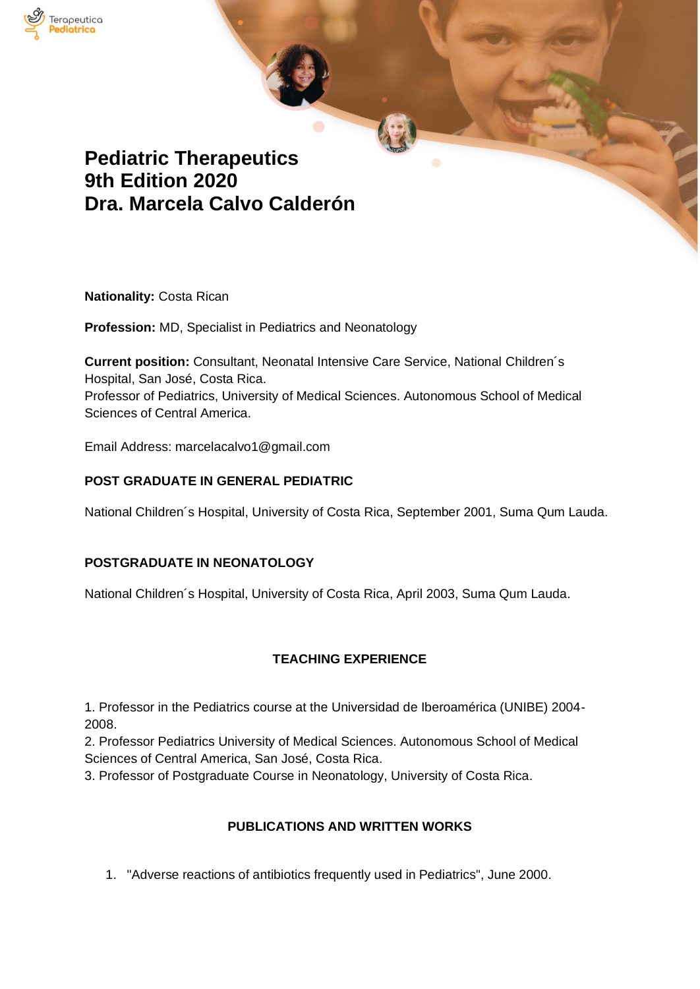

# **Pediatric Therapeutics 9th Edition 2020 Dra. Marcela Calvo Calderón**

**Nationality:** Costa Rican

**Profession:** MD, Specialist in Pediatrics and Neonatology

**Current position:** Consultant, Neonatal Intensive Care Service, National Children´s Hospital, San José, Costa Rica. Professor of Pediatrics, University of Medical Sciences. Autonomous School of Medical Sciences of Central America.

Email Address: marcelacalvo1@gmail.com

## **POST GRADUATE IN GENERAL PEDIATRIC**

National Children´s Hospital, University of Costa Rica, September 2001, Suma Qum Lauda.

## **POSTGRADUATE IN NEONATOLOGY**

National Children´s Hospital, University of Costa Rica, April 2003, Suma Qum Lauda.

## **TEACHING EXPERIENCE**

1. Professor in the Pediatrics course at the Universidad de Iberoamérica (UNIBE) 2004- 2008.

2. Professor Pediatrics University of Medical Sciences. Autonomous School of Medical Sciences of Central America, San José, Costa Rica.

3. Professor of Postgraduate Course in Neonatology, University of Costa Rica.

## **PUBLICATIONS AND WRITTEN WORKS**

1. "Adverse reactions of antibiotics frequently used in Pediatrics", June 2000.